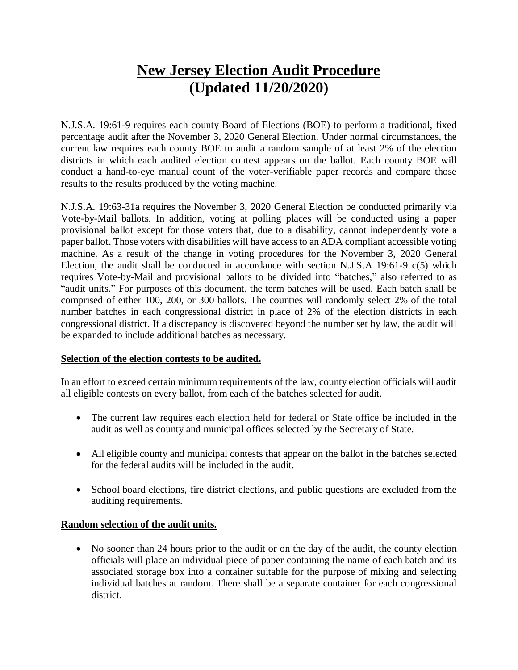# **New Jersey Election Audit Procedure (Updated 11/20/2020)**

N.J.S.A. 19:61-9 requires each county Board of Elections (BOE) to perform a traditional, fixed percentage audit after the November 3, 2020 General Election. Under normal circumstances, the current law requires each county BOE to audit a random sample of at least 2% of the election districts in which each audited election contest appears on the ballot. Each county BOE will conduct a hand-to-eye manual count of the voter-verifiable paper records and compare those results to the results produced by the voting machine.

N.J.S.A. 19:63-31a requires the November 3, 2020 General Election be conducted primarily via Vote-by-Mail ballots. In addition, voting at polling places will be conducted using a paper provisional ballot except for those voters that, due to a disability, cannot independently vote a paper ballot. Those voters with disabilities will have access to an ADA compliant accessible voting machine. As a result of the change in voting procedures for the November 3, 2020 General Election, the audit shall be conducted in accordance with section N.J.S.A 19:61-9  $c(5)$  which requires Vote-by-Mail and provisional ballots to be divided into "batches," also referred to as "audit units." For purposes of this document, the term batches will be used. Each batch shall be comprised of either 100, 200, or 300 ballots. The counties will randomly select 2% of the total number batches in each congressional district in place of 2% of the election districts in each congressional district. If a discrepancy is discovered beyond the number set by law, the audit will be expanded to include additional batches as necessary.

## **Selection of the election contests to be audited.**

In an effort to exceed certain minimum requirements of the law, county election officials will audit all eligible contests on every ballot, from each of the batches selected for audit.

- The current law requires each election held for federal or State office be included in the audit as well as county and municipal offices selected by the Secretary of State.
- All eligible county and municipal contests that appear on the ballot in the batches selected for the federal audits will be included in the audit.
- School board elections, fire district elections, and public questions are excluded from the auditing requirements.

## **Random selection of the audit units.**

 No sooner than 24 hours prior to the audit or on the day of the audit, the county election officials will place an individual piece of paper containing the name of each batch and its associated storage box into a container suitable for the purpose of mixing and selecting individual batches at random. There shall be a separate container for each congressional district.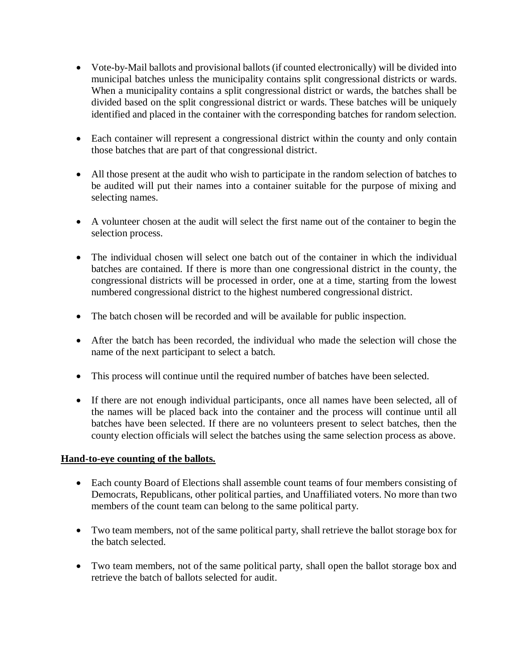- Vote-by-Mail ballots and provisional ballots (if counted electronically) will be divided into municipal batches unless the municipality contains split congressional districts or wards. When a municipality contains a split congressional district or wards, the batches shall be divided based on the split congressional district or wards. These batches will be uniquely identified and placed in the container with the corresponding batches for random selection.
- Each container will represent a congressional district within the county and only contain those batches that are part of that congressional district.
- All those present at the audit who wish to participate in the random selection of batches to be audited will put their names into a container suitable for the purpose of mixing and selecting names.
- A volunteer chosen at the audit will select the first name out of the container to begin the selection process.
- The individual chosen will select one batch out of the container in which the individual batches are contained. If there is more than one congressional district in the county, the congressional districts will be processed in order, one at a time, starting from the lowest numbered congressional district to the highest numbered congressional district.
- The batch chosen will be recorded and will be available for public inspection.
- After the batch has been recorded, the individual who made the selection will chose the name of the next participant to select a batch.
- This process will continue until the required number of batches have been selected.
- If there are not enough individual participants, once all names have been selected, all of the names will be placed back into the container and the process will continue until all batches have been selected. If there are no volunteers present to select batches, then the county election officials will select the batches using the same selection process as above.

## **Hand-to-eye counting of the ballots.**

- Each county Board of Elections shall assemble count teams of four members consisting of Democrats, Republicans, other political parties, and Unaffiliated voters. No more than two members of the count team can belong to the same political party.
- Two team members, not of the same political party, shall retrieve the ballot storage box for the batch selected.
- Two team members, not of the same political party, shall open the ballot storage box and retrieve the batch of ballots selected for audit.